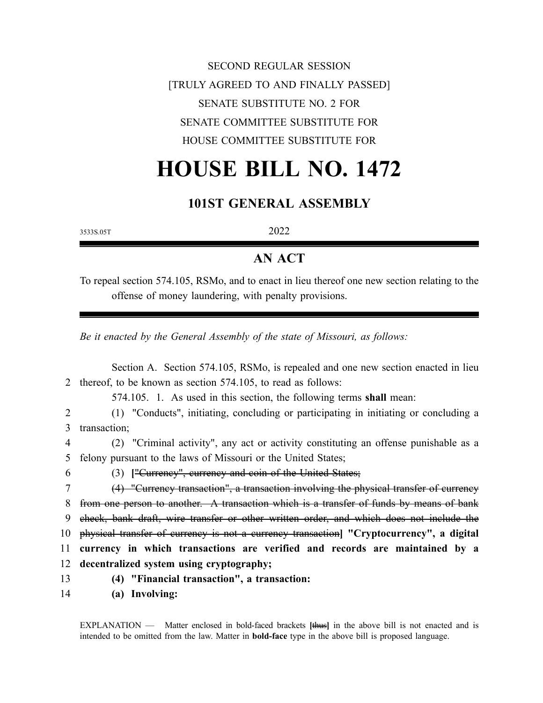## SECOND REGULAR SESSION [TRULY AGREED TO AND FINALLY PASSED] SENATE SUBSTITUTE NO. 2 FOR SENATE COMMITTEE SUBSTITUTE FOR HOUSE COMMITTEE SUBSTITUTE FOR

## **HOUSE BILL NO. 1472**

## **101ST GENERAL ASSEMBLY**

3533S.05T

2022

## **AN ACT**

To repeal section 574.105, RSMo, and to enact in lieu thereof one new section relating to the offense of money laundering, with penalty provisions.

*Be it enacted by the General Assembly of the state of Missouri, as follows:*

|               | Section A. Section 574.105, RSMo, is repealed and one new section enacted in lieu       |
|---------------|-----------------------------------------------------------------------------------------|
| $\mathcal{L}$ | thereof, to be known as section 574.105, to read as follows:                            |
|               | 574.105. 1. As used in this section, the following terms shall mean:                    |
|               | (1) "Conducts", initiating, concluding or participating in initiating or concluding a   |
| 3             | transaction;                                                                            |
| 4             | (2) "Criminal activity", any act or activity constituting an offense punishable as a    |
| 5             | felony pursuant to the laws of Missouri or the United States;                           |
| 6             | (3) ["Currency", currency and coin of the United States;                                |
|               | (4) "Currency transaction", a transaction involving the physical transfer of currency   |
| 8             | from one person to another. A transaction which is a transfer of funds by means of bank |
| 9             | check, bank draft, wire transfer or other written order, and which does not include the |
| 10            | physical transfer of currency is not a currency transaction "Cryptocurrency", a digital |
| 11            | currency in which transactions are verified and records are maintained by a             |
| 12            | decentralized system using cryptography;                                                |
| 13            | (4) "Financial transaction", a transaction:                                             |
| 14            | (a) Involving:                                                                          |

EXPLANATION — Matter enclosed in bold-faced brackets **[**thus**]** in the above bill is not enacted and is intended to be omitted from the law. Matter in **bold-face** type in the above bill is proposed language.